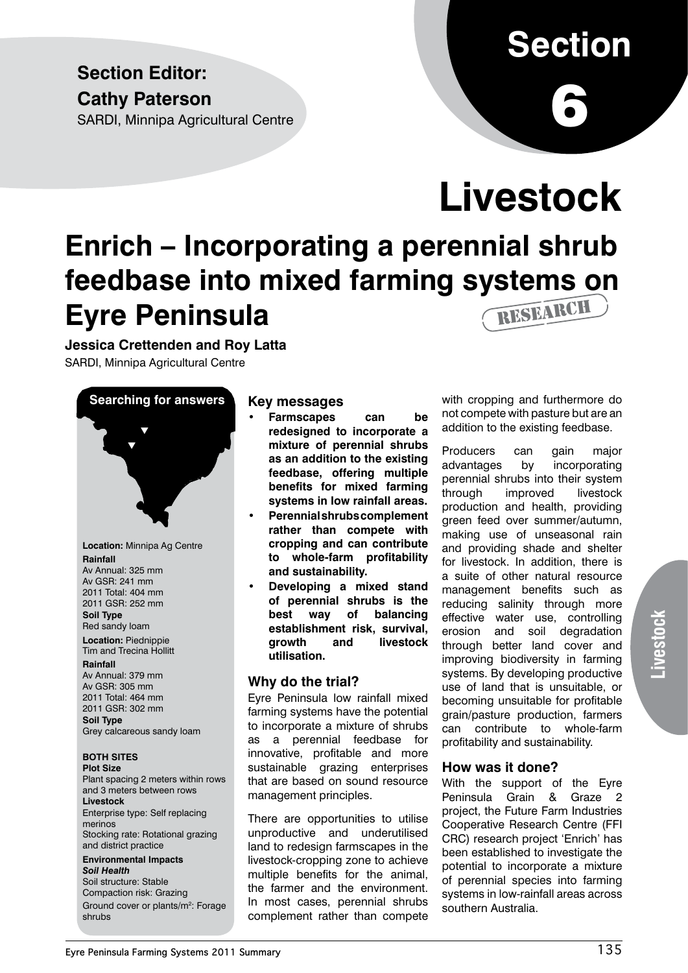## **Section Editor: Cathy Paterson**

SARDI, Minnipa Agricultural Centre

# **Section**

6

# **Livestock**

## **Enrich – Incorporating a perennial shrub feedbase into mixed farming systems on Eyre Peninsula**  RESEARCH

**Jessica Crettenden and Roy Latta**

SARDI, Minnipa Agricultural Centre

# **Searching for answers**  $\blacktriangledown$ t

**Location:** Minnipa Ag Centre **Rainfall** Av Annual: 325 mm Av GSR: 241 mm 2011 Total: 404 mm 2011 GSR: 252 mm

**Soil Type** Red sandy loam

**Location:** Piednippie Tim and Trecina Hollitt

#### **Rainfall**

Av Annual: 379 mm Av GSR: 305 mm 2011 Total: 464 mm 2011 GSR: 302 mm **Soil Type** Grey calcareous sandy loam

#### **BOTH SITES**

**Plot Size**

Plant spacing 2 meters within rows and 3 meters between rows **Livestock** Enterprise type: Self replacing merinos Stocking rate: Rotational grazing and district practice **Environmental Impacts**

*Soil Health* Soil structure: Stable Compaction risk: Grazing Ground cover or plants/m<sup>2</sup>: Forage shrubs

### **Key messages**

- **• Farmscapes can be redesigned to incorporate a mixture of perennial shrubs as an addition to the existing feedbase, offering multiple benefits for mixed farming systems in low rainfall areas.**
- **• Perennial shrubs complement rather than compete with cropping and can contribute to whole-farm profitability and sustainability.**
- **• Developing a mixed stand of perennial shrubs is the best way of balancing establishment risk, survival, growth and livestock utilisation.**

### **Why do the trial?**

Eyre Peninsula low rainfall mixed farming systems have the potential to incorporate a mixture of shrubs as a perennial feedbase for innovative, profitable and more sustainable grazing enterprises that are based on sound resource management principles.

There are opportunities to utilise unproductive and underutilised land to redesign farmscapes in the livestock-cropping zone to achieve multiple benefits for the animal, the farmer and the environment. In most cases, perennial shrubs complement rather than compete

with cropping and furthermore do not compete with pasture but are an addition to the existing feedbase.

Producers can gain major advantages by incorporating perennial shrubs into their system through improved livestock production and health, providing green feed over summer/autumn, making use of unseasonal rain and providing shade and shelter for livestock. In addition, there is a suite of other natural resource management benefits such as reducing salinity through more effective water use, controlling erosion and soil degradation through better land cover and improving biodiversity in farming systems. By developing productive use of land that is unsuitable, or becoming unsuitable for profitable grain/pasture production, farmers can contribute to whole-farm profitability and sustainability.

#### **How was it done?**

With the support of the Eyre Peninsula Grain & Graze 2 project, the Future Farm Industries Cooperative Research Centre (FFI CRC) research project 'Enrich' has been established to investigate the potential to incorporate a mixture of perennial species into farming systems in low-rainfall areas across southern Australia.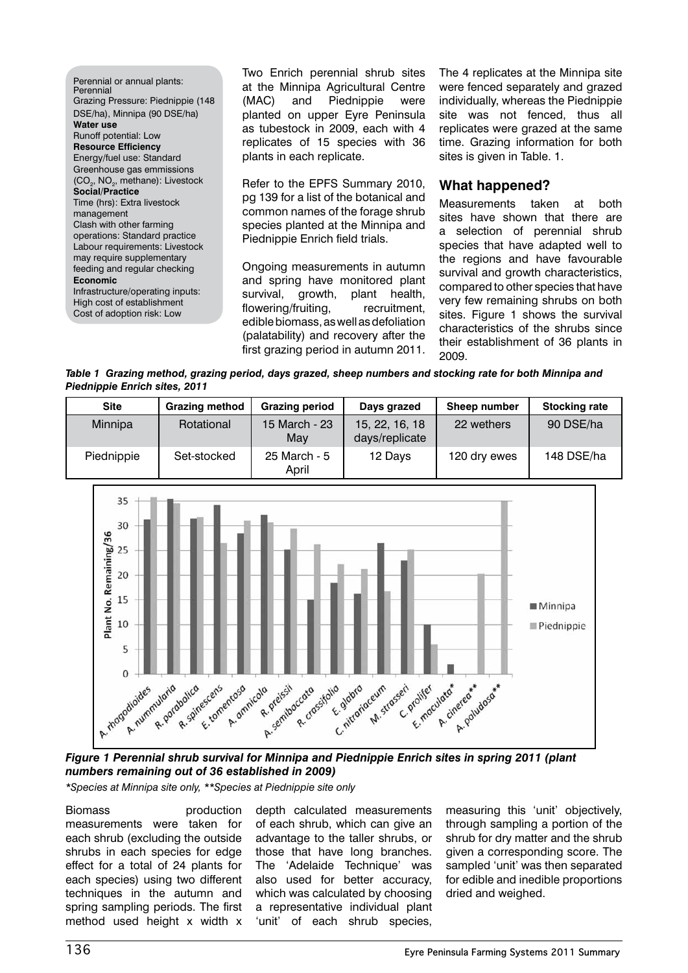Perennial or annual plants: Perennial Grazing Pressure: Piednippie (148 DSE/ha), Minnipa (90 DSE/ha) **Water use** Runoff potential: Low **Resource Efficiency** Energy/fuel use: Standard Greenhouse gas emmissions (CO<sub>2</sub>, NO<sub>2</sub>, methane): Livestock **Social/Practice** Time (hrs): Extra livestock management Clash with other farming operations: Standard practice Labour requirements: Livestock may require supplementary feeding and regular checking **Economic** Infrastructure/operating inputs: High cost of establishment Cost of adoption risk: Low

Two Enrich perennial shrub sites at the Minnipa Agricultural Centre (MAC) and Piednippie were planted on upper Eyre Peninsula as tubestock in 2009, each with 4 replicates of 15 species with 36 plants in each replicate.

Refer to the EPFS Summary 2010, pg 139 for a list of the botanical and common names of the forage shrub species planted at the Minnipa and Piednippie Enrich field trials.

Ongoing measurements in autumn and spring have monitored plant survival, growth, plant health, flowering/fruiting, recruitment, edible biomass, as well as defoliation (palatability) and recovery after the first grazing period in autumn 2011.

The 4 replicates at the Minnipa site were fenced separately and grazed individually, whereas the Piednippie site was not fenced, thus all replicates were grazed at the same time. Grazing information for both sites is given in Table. 1.

### **What happened?**

Measurements taken at both sites have shown that there are a selection of perennial shrub species that have adapted well to the regions and have favourable survival and growth characteristics, compared to other species that have very few remaining shrubs on both sites. Figure 1 shows the survival characteristics of the shrubs since their establishment of 36 plants in 2009.

*Table 1 Grazing method, grazing period, days grazed, sheep numbers and stocking rate for both Minnipa and Piednippie Enrich sites, 2011*



*Figure 1 Perennial shrub survival for Minnipa and Piednippie Enrich sites in spring 2011 (plant numbers remaining out of 36 established in 2009)*

*\*Species at Minnipa site only, \*\*Species at Piednippie site only*

Biomass production measurements were taken for each shrub (excluding the outside shrubs in each species for edge effect for a total of 24 plants for each species) using two different techniques in the autumn and spring sampling periods. The first method used height x width x depth calculated measurements of each shrub, which can give an advantage to the taller shrubs, or those that have long branches. The 'Adelaide Technique' was also used for better accuracy, which was calculated by choosing a representative individual plant 'unit' of each shrub species,

measuring this 'unit' objectively, through sampling a portion of the shrub for dry matter and the shrub given a corresponding score. The sampled 'unit' was then separated for edible and inedible proportions dried and weighed.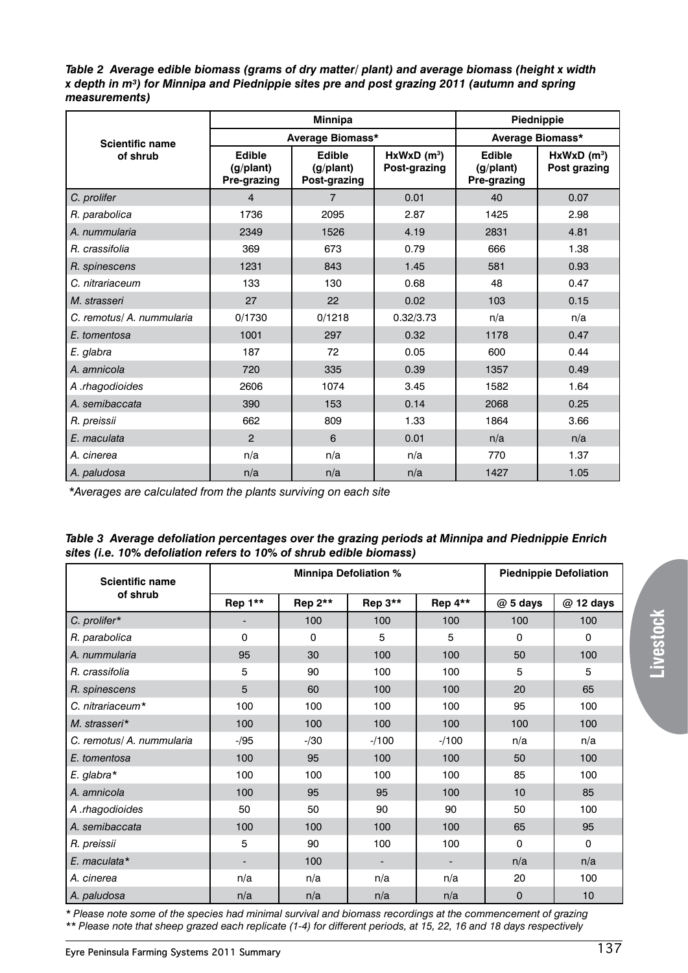*Table 2 Average edible biomass (grams of dry matter/ plant) and average biomass (height x width x depth in m³) for Minnipa and Piednippie sites pre and post grazing 2011 (autumn and spring measurements)*

|                           |                                           | <b>Minnipa</b>                             | Piednippie                                |                                           |                                           |
|---------------------------|-------------------------------------------|--------------------------------------------|-------------------------------------------|-------------------------------------------|-------------------------------------------|
| <b>Scientific name</b>    |                                           | Average Biomass*                           | Average Biomass*                          |                                           |                                           |
| of shrub                  | <b>Edible</b><br>(g/plant)<br>Pre-grazing | <b>Edible</b><br>(g/plant)<br>Post-grazing | $HxWxD$ (m <sup>3</sup> )<br>Post-grazing | <b>Edible</b><br>(g/plant)<br>Pre-grazing | $HxWxD$ (m <sup>3</sup> )<br>Post grazing |
| C. prolifer               | $\overline{4}$                            | $\overline{7}$                             | 0.01                                      | 40                                        | 0.07                                      |
| R. parabolica             | 1736                                      | 2095                                       | 2.87                                      | 1425                                      | 2.98                                      |
| A. nummularia             | 2349                                      | 1526                                       | 4.19                                      | 2831                                      | 4.81                                      |
| R. crassifolia            | 369                                       | 673                                        | 0.79                                      | 666                                       | 1.38                                      |
| R. spinescens             | 1231                                      | 843                                        | 1.45                                      | 581                                       | 0.93                                      |
| C. nitrariaceum           | 133                                       | 130                                        | 0.68                                      | 48                                        | 0.47                                      |
| M. strasseri              | 27                                        | 22                                         | 0.02                                      | 103                                       | 0.15                                      |
| C. remotus/ A. nummularia | 0/1730                                    | 0/1218                                     | 0.32/3.73                                 | n/a                                       | n/a                                       |
| E. tomentosa              | 1001                                      | 297                                        | 0.32                                      | 1178                                      | 0.47                                      |
| E. glabra                 | 187                                       | 72                                         | 0.05                                      | 600                                       | 0.44                                      |
| A. amnicola               | 720                                       | 335                                        | 0.39                                      | 1357                                      | 0.49                                      |
| A .rhagodioides           | 2606                                      | 1074                                       | 3.45                                      | 1582                                      | 1.64                                      |
| A. semibaccata            | 390                                       | 153                                        | 0.14                                      | 2068                                      | 0.25                                      |
| R. preissii               | 662                                       | 809                                        | 1.33                                      | 1864                                      | 3.66                                      |
| E. maculata               | $\overline{2}$                            | 6                                          | 0.01                                      | n/a                                       | n/a                                       |
| A. cinerea                | n/a                                       | n/a                                        | n/a                                       | 770                                       | 1.37                                      |
| A. paludosa               | n/a                                       | n/a                                        | n/a                                       | 1427                                      | 1.05                                      |

 *\*Averages are calculated from the plants surviving on each site*

| Table 3 Average defoliation percentages over the grazing periods at Minnipa and Piednippie Enrich |  |
|---------------------------------------------------------------------------------------------------|--|
| sites (i.e. 10% defoliation refers to 10% of shrub edible biomass)                                |  |

| <b>Scientific name</b>    | <b>Minnipa Defoliation %</b> |         |                          |         | <b>Piednippie Defoliation</b> |           |
|---------------------------|------------------------------|---------|--------------------------|---------|-------------------------------|-----------|
| of shrub                  | Rep 1**                      | Rep 2** | Rep 3**                  | Rep 4** | $@5$ days                     | @ 12 days |
| C. prolifer*              |                              | 100     | 100                      | 100     | 100                           | 100       |
| R. parabolica             | 0                            | 0       | 5                        | 5       | 0                             | 0         |
| A. nummularia             | 95                           | 30      | 100                      | 100     | 50                            | 100       |
| R. crassifolia            | 5                            | 90      | 100                      | 100     | 5                             | 5         |
| R. spinescens             | 5                            | 60      | 100                      | 100     | 20                            | 65        |
| C. nitrariaceum*          | 100                          | 100     | 100                      | 100     | 95                            | 100       |
| M. strasseri*             | 100                          | 100     | 100                      | 100     | 100                           | 100       |
| C. remotus/ A. nummularia | $-195$                       | $-130$  | $-100$                   | $-100$  | n/a                           | n/a       |
| E. tomentosa              | 100                          | 95      | 100                      | 100     | 50                            | 100       |
| $E.$ glabra*              | 100                          | 100     | 100                      | 100     | 85                            | 100       |
| A. amnicola               | 100                          | 95      | 95                       | 100     | 10                            | 85        |
| A .rhagodioides           | 50                           | 50      | 90                       | 90      | 50                            | 100       |
| A. semibaccata            | 100                          | 100     | 100                      | 100     | 65                            | 95        |
| R. preissii               | 5                            | 90      | 100                      | 100     | $\mathbf 0$                   | 0         |
| E. maculata*              |                              | 100     | $\overline{\phantom{0}}$ |         | n/a                           | n/a       |
| A. cinerea                | n/a                          | n/a     | n/a                      | n/a     | 20                            | 100       |
| A. paludosa               | n/a                          | n/a     | n/a                      | n/a     | 0                             | 10        |

*\* Please note some of the species had minimal survival and biomass recordings at the commencement of grazing \*\* Please note that sheep grazed each replicate (1-4) for different periods, at 15, 22, 16 and 18 days respectively*